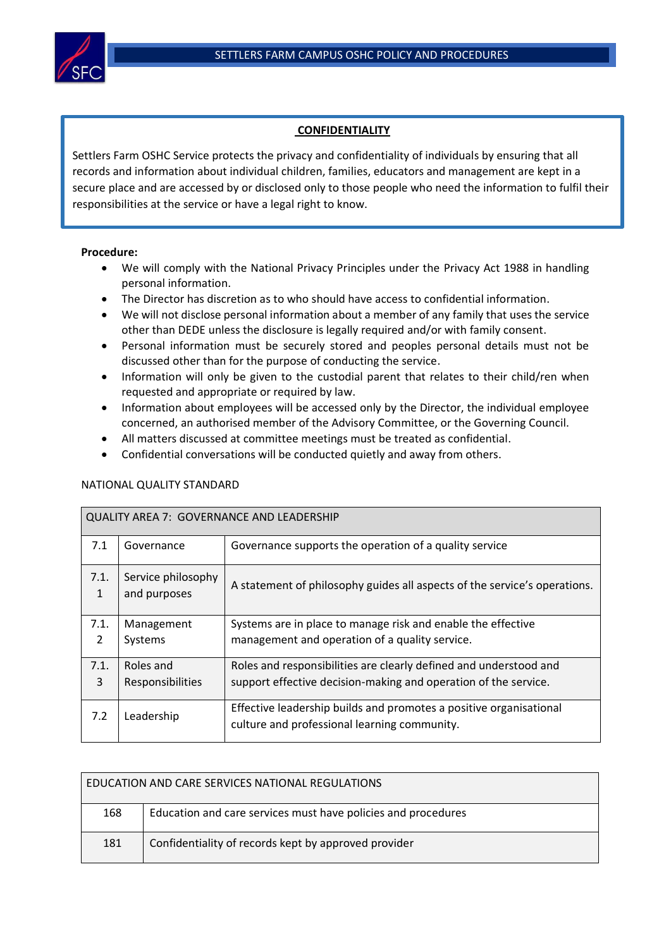

## **CONFIDENTIALITY**

Settlers Farm OSHC Service protects the privacy and confidentiality of individuals by ensuring that all records and information about individual children, families, educators and management are kept in a secure place and are accessed by or disclosed only to those people who need the information to fulfil their responsibilities at the service or have a legal right to know.

## **Procedure:**

- We will comply with the National Privacy Principles under the Privacy Act 1988 in handling personal information.
- The Director has discretion as to who should have access to confidential information.
- We will not disclose personal information about a member of any family that uses the service other than DEDE unless the disclosure is legally required and/or with family consent.
- Personal information must be securely stored and peoples personal details must not be discussed other than for the purpose of conducting the service.
- Information will only be given to the custodial parent that relates to their child/ren when requested and appropriate or required by law.
- Information about employees will be accessed only by the Director, the individual employee concerned, an authorised member of the Advisory Committee, or the Governing Council.
- All matters discussed at committee meetings must be treated as confidential.
- Confidential conversations will be conducted quietly and away from others.

| <b>QUALITY AREA 7: GOVERNANCE AND LEADERSHIP</b> |                                    |                                                                                                                    |  |  |  |
|--------------------------------------------------|------------------------------------|--------------------------------------------------------------------------------------------------------------------|--|--|--|
| 7.1                                              | Governance                         | Governance supports the operation of a quality service                                                             |  |  |  |
| 7.1.<br>1                                        | Service philosophy<br>and purposes | A statement of philosophy guides all aspects of the service's operations.                                          |  |  |  |
| 7.1.                                             | Management                         | Systems are in place to manage risk and enable the effective                                                       |  |  |  |
| $\mathcal{P}$                                    | Systems                            | management and operation of a quality service.                                                                     |  |  |  |
| 7.1.                                             | Roles and                          | Roles and responsibilities are clearly defined and understood and                                                  |  |  |  |
| 3                                                | Responsibilities                   | support effective decision-making and operation of the service.                                                    |  |  |  |
| 7.2                                              | Leadership                         | Effective leadership builds and promotes a positive organisational<br>culture and professional learning community. |  |  |  |

## NATIONAL QUALITY STANDARD

| EDUCATION AND CARE SERVICES NATIONAL REGULATIONS |                                                               |  |  |  |
|--------------------------------------------------|---------------------------------------------------------------|--|--|--|
| 168                                              | Education and care services must have policies and procedures |  |  |  |
| 181                                              | Confidentiality of records kept by approved provider          |  |  |  |